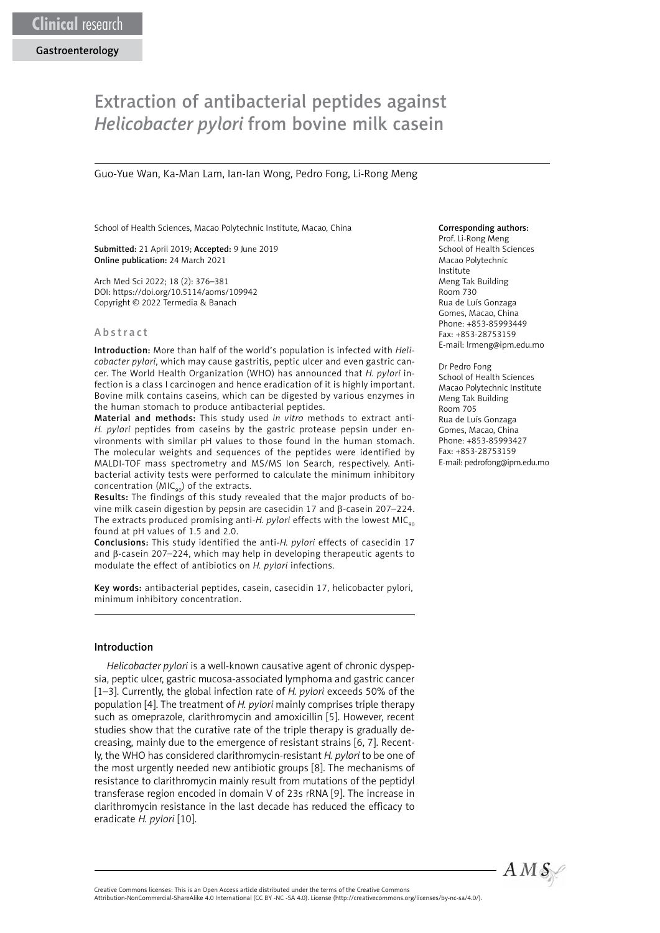# Extraction of antibacterial peptides against *Helicobacter pylori* from bovine milk casein

Guo-Yue Wan, Ka-Man Lam, Ian-Ian Wong, Pedro Fong, Li-Rong Meng

School of Health Sciences, Macao Polytechnic Institute, Macao, China

Submitted: 21 April 2019; Accepted: 9 June 2019 Online publication: 24 March 2021

Arch Med Sci 2022; 18 (2): 376–381 DOI: https://doi.org/10.5114/aoms/109942 Copyright © 2022 Termedia & Banach

#### Abstract

Introduction: More than half of the world's population is infected with *Helicobacter pylori*, which may cause gastritis, peptic ulcer and even gastric cancer. The World Health Organization (WHO) has announced that *H. pylori* infection is a class I carcinogen and hence eradication of it is highly important. Bovine milk contains caseins, which can be digested by various enzymes in the human stomach to produce antibacterial peptides.

Material and methods: This study used *in vitro* methods to extract anti-*H. pylori* peptides from caseins by the gastric protease pepsin under environments with similar pH values to those found in the human stomach. The molecular weights and sequences of the peptides were identified by MALDI-TOF mass spectrometry and MS/MS Ion Search, respectively. Antibacterial activity tests were performed to calculate the minimum inhibitory concentration ( $MIC<sub>90</sub>$ ) of the extracts.

Results: The findings of this study revealed that the major products of bovine milk casein digestion by pepsin are casecidin 17 and β-casein 207–224. The extracts produced promising anti-*H. pylori* effects with the lowest MIC<sub>90</sub> found at pH values of 1.5 and 2.0.

Conclusions: This study identified the anti-*H. pylori* effects of casecidin 17 and β-casein 207–224, which may help in developing therapeutic agents to modulate the effect of antibiotics on *H. pylori* infections.

Key words: antibacterial peptides, casein, casecidin 17, helicobacter pylori, minimum inhibitory concentration.

#### Introduction

*Helicobacter pylori* is a well-known causative agent of chronic dyspepsia, peptic ulcer, gastric mucosa-associated lymphoma and gastric cancer [1–3]. Currently, the global infection rate of *H. pylori* exceeds 50% of the population [4]. The treatment of *H. pylori* mainly comprises triple therapy such as omeprazole, clarithromycin and amoxicillin [5]. However, recent studies show that the curative rate of the triple therapy is gradually decreasing, mainly due to the emergence of resistant strains [6, 7]. Recently, the WHO has considered clarithromycin-resistant *H. pylori* to be one of the most urgently needed new antibiotic groups [8]. The mechanisms of resistance to clarithromycin mainly result from mutations of the peptidyl transferase region encoded in domain V of 23s rRNA [9]. The increase in clarithromycin resistance in the last decade has reduced the efficacy to eradicate *H. pylori* [10].

#### Corresponding authors:

Prof. Li-Rong Meng School of Health Sciences Macao Polytechnic Institute Meng Tak Building Room 730 Rua de Luís Gonzaga Gomes, Macao, China Phone: +853-85993449 Fax: +853-28753159 E-mail: lrmeng@ipm.edu.mo

Dr Pedro Fong School of Health Sciences Macao Polytechnic Institute Meng Tak Building Room 705 Rua de Luís Gonzaga Gomes, Macao, China Phone: +853-85993427 Fax: +853-28753159 E-mail: pedrofong@ipm.edu.mo

Attribution-NonCommercial-ShareAlike 4.0 International (CC BY -NC -SA 4.0). License (http://creativecommons.org/licenses/by-nc-sa/4.0/).

Creative Commons licenses: This is an Open Access article distributed under the terms of the Creative Commons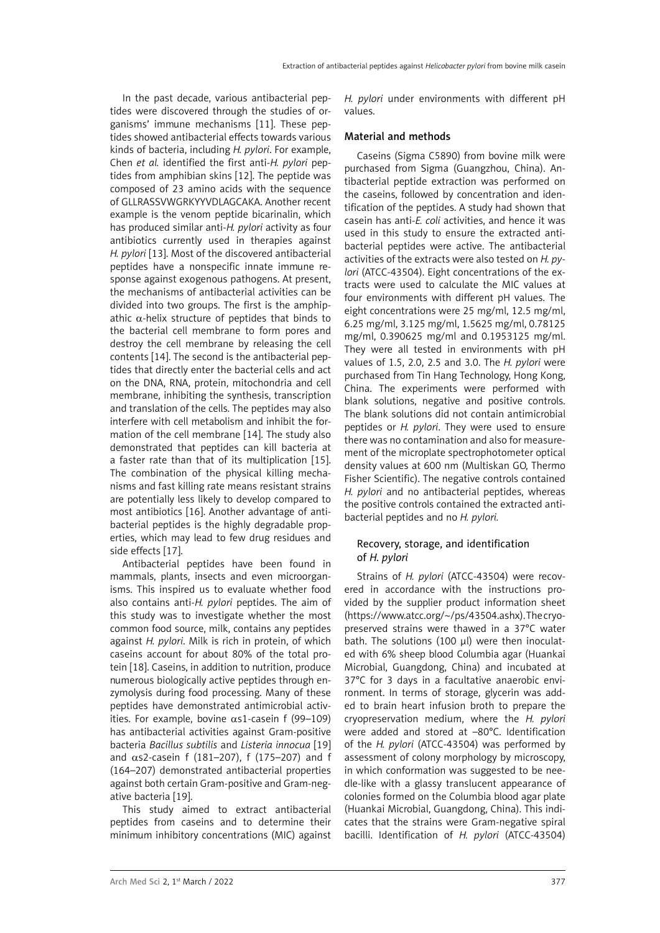In the past decade, various antibacterial peptides were discovered through the studies of organisms' immune mechanisms [11]. These peptides showed antibacterial effects towards various kinds of bacteria, including *H. pylori*. For example, Chen *et al.* identified the first anti-*H. pylori* peptides from amphibian skins [12]. The peptide was composed of 23 amino acids with the sequence of GLLRASSVWGRKYYVDLAGCAKA. Another recent example is the venom peptide bicarinalin, which has produced similar anti-*H. pylori* activity as four antibiotics currently used in therapies against *H. pylori* [13]. Most of the discovered antibacterial peptides have a nonspecific innate immune response against exogenous pathogens. At present, the mechanisms of antibacterial activities can be divided into two groups. The first is the amphipathic  $\alpha$ -helix structure of peptides that binds to the bacterial cell membrane to form pores and destroy the cell membrane by releasing the cell contents [14]. The second is the antibacterial peptides that directly enter the bacterial cells and act on the DNA, RNA, protein, mitochondria and cell membrane, inhibiting the synthesis, transcription and translation of the cells. The peptides may also interfere with cell metabolism and inhibit the formation of the cell membrane [14]. The study also demonstrated that peptides can kill bacteria at a faster rate than that of its multiplication [15]. The combination of the physical killing mechanisms and fast killing rate means resistant strains are potentially less likely to develop compared to most antibiotics [16]. Another advantage of antibacterial peptides is the highly degradable properties, which may lead to few drug residues and side effects [17].

Antibacterial peptides have been found in mammals, plants, insects and even microorganisms. This inspired us to evaluate whether food also contains anti-*H. pylori* peptides. The aim of this study was to investigate whether the most common food source, milk, contains any peptides against *H. pylori*. Milk is rich in protein, of which caseins account for about 80% of the total protein [18]. Caseins, in addition to nutrition, produce numerous biologically active peptides through enzymolysis during food processing. Many of these peptides have demonstrated antimicrobial activities. For example, bovine αs1-casein f (99–109) has antibacterial activities against Gram-positive bacteria *Bacillus subtilis* and *Listeria innocua* [19] and  $\alpha$ s2-casein f (181–207), f (175–207) and f (164–207) demonstrated antibacterial properties against both certain Gram-positive and Gram-negative bacteria [19].

This study aimed to extract antibacterial peptides from caseins and to determine their minimum inhibitory concentrations (MIC) against *H. pylori* under environments with different pH values.

#### Material and methods

Caseins (Sigma C5890) from bovine milk were purchased from Sigma (Guangzhou, China). Antibacterial peptide extraction was performed on the caseins, followed by concentration and identification of the peptides. A study had shown that casein has anti-*E. coli* activities, and hence it was used in this study to ensure the extracted antibacterial peptides were active. The antibacterial activities of the extracts were also tested on *H. pylori* (ATCC-43504). Eight concentrations of the extracts were used to calculate the MIC values at four environments with different pH values. The eight concentrations were 25 mg/ml, 12.5 mg/ml, 6.25 mg/ml, 3.125 mg/ml, 1.5625 mg/ml, 0.78125 mg/ml, 0.390625 mg/ml and 0.1953125 mg/ml. They were all tested in environments with pH values of 1.5, 2.0, 2.5 and 3.0. The *H. pylori* were purchased from Tin Hang Technology, Hong Kong, China. The experiments were performed with blank solutions, negative and positive controls. The blank solutions did not contain antimicrobial peptides or *H. pylori*. They were used to ensure there was no contamination and also for measurement of the microplate spectrophotometer optical density values at 600 nm (Multiskan GO, Thermo Fisher Scientific). The negative controls contained *H. pylori* and no antibacterial peptides, whereas the positive controls contained the extracted antibacterial peptides and no *H. pylori.*

# Recovery, storage, and identification of *H. pylori*

Strains of *H. pylori* (ATCC-43504) were recovered in accordance with the instructions provided by the supplier product information sheet (https://www.atcc.org/~/ps/43504.ashx). The cryopreserved strains were thawed in a 37°C water bath. The solutions (100 μl) were then inoculated with 6% sheep blood Columbia agar (Huankai Microbial, Guangdong, China) and incubated at 37°C for 3 days in a facultative anaerobic environment. In terms of storage, glycerin was added to brain heart infusion broth to prepare the cryopreservation medium, where the *H. pylori* were added and stored at –80°C. Identification of the *H. pylori* (ATCC-43504) was performed by assessment of colony morphology by microscopy, in which conformation was suggested to be needle-like with a glassy translucent appearance of colonies formed on the Columbia blood agar plate (Huankai Microbial, Guangdong, China). This indicates that the strains were Gram-negative spiral bacilli. Identification of *H. pylori* (ATCC-43504)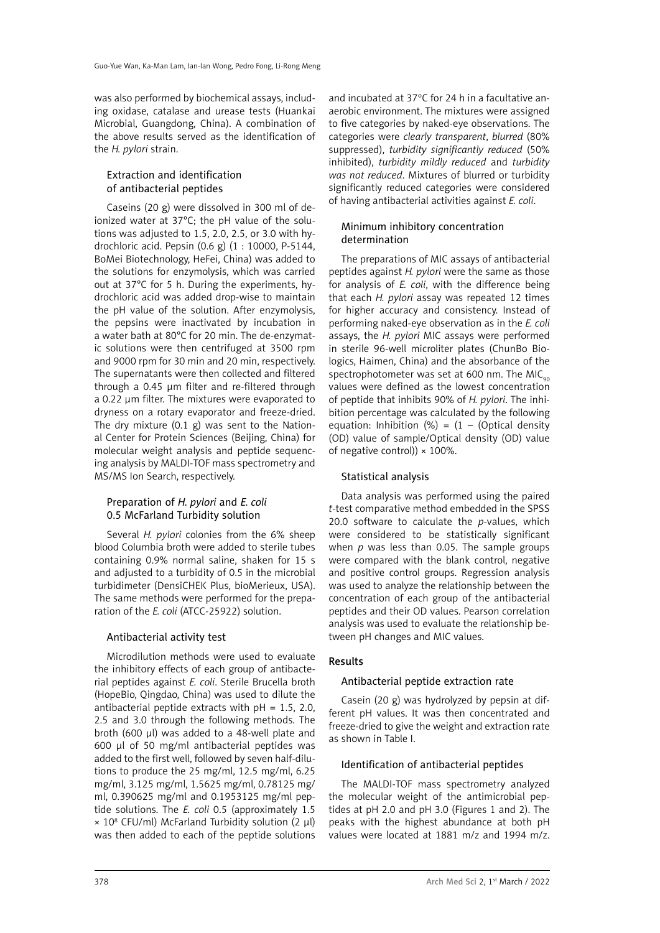was also performed by biochemical assays, including oxidase, catalase and urease tests (Huankai Microbial, Guangdong, China). A combination of the above results served as the identification of the *H. pylori* strain.

# Extraction and identification of antibacterial peptides

Caseins (20 g) were dissolved in 300 ml of deionized water at 37°C; the pH value of the solutions was adjusted to 1.5, 2.0, 2.5, or 3.0 with hydrochloric acid. Pepsin (0.6 g) (1 : 10000, P-5144, BoMei Biotechnology, HeFei, China) was added to the solutions for enzymolysis, which was carried out at 37°C for 5 h. During the experiments, hydrochloric acid was added drop-wise to maintain the pH value of the solution. After enzymolysis, the pepsins were inactivated by incubation in a water bath at 80°C for 20 min. The de-enzymatic solutions were then centrifuged at 3500 rpm and 9000 rpm for 30 min and 20 min, respectively. The supernatants were then collected and filtered through a 0.45 μm filter and re-filtered through a 0.22 μm filter. The mixtures were evaporated to dryness on a rotary evaporator and freeze-dried. The dry mixture  $(0.1 \text{ g})$  was sent to the National Center for Protein Sciences (Beijing, China) for molecular weight analysis and peptide sequencing analysis by MALDI-TOF mass spectrometry and MS/MS Ion Search, respectively.

# Preparation of *H. pylori* and *E. coli* 0.5 McFarland Turbidity solution

Several *H. pylori* colonies from the 6% sheep blood Columbia broth were added to sterile tubes containing 0.9% normal saline, shaken for 15 s and adjusted to a turbidity of 0.5 in the microbial turbidimeter (DensiCHEK Plus, bioMerieux, USA). The same methods were performed for the preparation of the *E. coli* (ATCC-25922) solution.

## Antibacterial activity test

Microdilution methods were used to evaluate the inhibitory effects of each group of antibacterial peptides against *E. coli*. Sterile Brucella broth (HopeBio, Qingdao, China) was used to dilute the antibacterial peptide extracts with  $pH = 1.5, 2.0$ , 2.5 and 3.0 through the following methods. The broth (600 μl) was added to a 48-well plate and 600 μl of 50 mg/ml antibacterial peptides was added to the first well, followed by seven half-dilutions to produce the 25 mg/ml, 12.5 mg/ml, 6.25 mg/ml, 3.125 mg/ml, 1.5625 mg/ml, 0.78125 mg/ ml, 0.390625 mg/ml and 0.1953125 mg/ml peptide solutions. The *E. coli* 0.5 (approximately 1.5  $\times$  10<sup>8</sup> CFU/ml) McFarland Turbidity solution (2  $\mu$ l) was then added to each of the peptide solutions

and incubated at 37°C for 24 h in a facultative anaerobic environment. The mixtures were assigned to five categories by naked-eye observations. The categories were *clearly transparent*, *blurred* (80% suppressed), *turbidity significantly reduced* (50% inhibited), *turbidity mildly reduced* and *turbidity was not reduced*. Mixtures of blurred or turbidity significantly reduced categories were considered of having antibacterial activities against *E. coli*.

# Minimum inhibitory concentration determination

The preparations of MIC assays of antibacterial peptides against *H. pylori* were the same as those for analysis of *E. coli*, with the difference being that each *H. pylori* assay was repeated 12 times for higher accuracy and consistency. Instead of performing naked-eye observation as in the *E. coli* assays, the *H. pylori* MIC assays were performed in sterile 96-well microliter plates (ChunBo Biologics, Haimen, China) and the absorbance of the spectrophotometer was set at 600 nm. The MIC $_{\text{oo}}$ values were defined as the lowest concentration of peptide that inhibits 90% of *H. pylori*. The inhibition percentage was calculated by the following equation: Inhibition  $(\%) = (1 - (Optical density))$ (OD) value of sample/Optical density (OD) value of negative control))  $\times$  100%.

## Statistical analysis

Data analysis was performed using the paired *t-*test comparative method embedded in the SPSS 20.0 software to calculate the *p*-values, which were considered to be statistically significant when *p* was less than 0.05. The sample groups were compared with the blank control, negative and positive control groups. Regression analysis was used to analyze the relationship between the concentration of each group of the antibacterial peptides and their OD values. Pearson correlation analysis was used to evaluate the relationship between pH changes and MIC values.

## Results

# Antibacterial peptide extraction rate

Casein (20 g) was hydrolyzed by pepsin at different pH values. It was then concentrated and freeze-dried to give the weight and extraction rate as shown in Table I.

# Identification of antibacterial peptides

The MALDI-TOF mass spectrometry analyzed the molecular weight of the antimicrobial peptides at pH 2.0 and pH 3.0 (Figures 1 and 2). The peaks with the highest abundance at both pH values were located at 1881 m/z and 1994 m/z.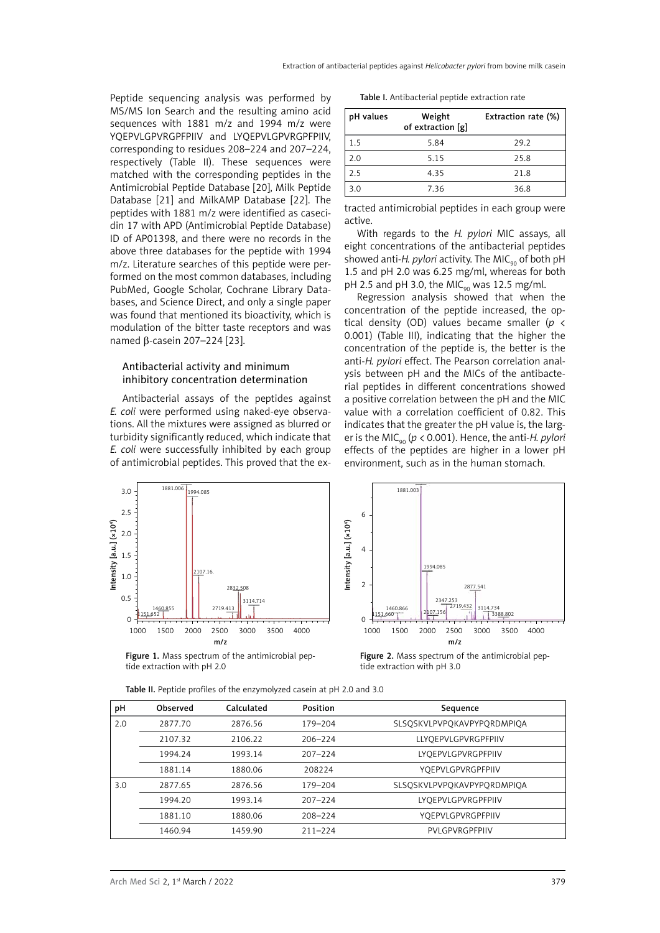Peptide sequencing analysis was performed by MS/MS Ion Search and the resulting amino acid sequences with 1881 m/z and 1994 m/z were YQEPVLGPVRGPFPIIV and LYQEPVLGPVRGPFPIIV, corresponding to residues 208–224 and 207–224, respectively (Table II). These sequences were matched with the corresponding peptides in the Antimicrobial Peptide Database [20], Milk Peptide Database [21] and MilkAMP Database [22]. The peptides with 1881 m/z were identified as casecidin 17 with APD (Antimicrobial Peptide Database) ID of AP01398, and there were no records in the above three databases for the peptide with 1994 m/z. Literature searches of this peptide were performed on the most common databases, including PubMed, Google Scholar, Cochrane Library Databases, and Science Direct, and only a single paper was found that mentioned its bioactivity, which is modulation of the bitter taste receptors and was named β-casein 207–224 [23].

#### Antibacterial activity and minimum inhibitory concentration determination

Antibacterial assays of the peptides against *E. coli* were performed using naked-eye observations. All the mixtures were assigned as blurred or turbidity significantly reduced, which indicate that *E. coli* were successfully inhibited by each group of antimicrobial peptides. This proved that the ex-

Table I. Antibacterial peptide extraction rate

| pH values | Weight<br>of extraction [g] | Extraction rate (%) |  |
|-----------|-----------------------------|---------------------|--|
| 1.5       | 5.84                        | 29.2                |  |
| 2.0       | 5.15                        | 25.8                |  |
| 2.5       | 4.35                        | 21.8                |  |
| 3.0       | 7.36                        | 36.8                |  |

tracted antimicrobial peptides in each group were active.

With regards to the *H. pylori* MIC assays, all eight concentrations of the antibacterial peptides showed anti-*H. pylori* activity. The MIC<sub>90</sub> of both pH 1.5 and pH 2.0 was 6.25 mg/ml, whereas for both pH 2.5 and pH 3.0, the MIC<sub>90</sub> was 12.5 mg/ml.

Regression analysis showed that when the concentration of the peptide increased, the optical density (OD) values became smaller (*p* < 0.001) (Table III), indicating that the higher the concentration of the peptide is, the better is the anti-*H. pylori* effect. The Pearson correlation analysis between pH and the MICs of the antibacterial peptides in different concentrations showed a positive correlation between the pH and the MIC value with a correlation coefficient of 0.82. This indicates that the greater the pH value is, the larger is the MIC<sub>90</sub> ( $p < 0.001$ ). Hence, the anti-*H. pylori* effects of the peptides are higher in a lower pH environment, such as in the human stomach.



Figure 1. Mass spectrum of the antimicrobial peptide extraction with pH 2.0



Figure 2. Mass spectrum of the antimicrobial peptide extraction with pH 3.0

| рH  | Observed | Calculated | <b>Position</b> | Sequence                                  |  |
|-----|----------|------------|-----------------|-------------------------------------------|--|
| 2.0 | 2877.70  | 2876.56    | 179-204         | SLSOSKVLPVPOKAVPYPORDMPIOA                |  |
|     | 2107.32  | 2106.22    | $206 - 224$     | LLYOEPVLGPVRGPFPIIV<br>LYOEPVLGPVRGPFPIIV |  |
|     | 1994.24  | 1993.14    | $207 - 224$     |                                           |  |
|     | 1881.14  | 1880.06    | 208224          | YOEPVLGPVRGPFPIIV                         |  |
| 3.0 | 2877.65  | 2876.56    | 179-204         | SLSOSKVLPVPOKAVPYPORDMPIOA                |  |
|     | 1994.20  | 1993.14    | $207 - 224$     | LYOEPVLGPVRGPFPIIV                        |  |
|     | 1881.10  | 1880.06    | 208-224         | YOEPVLGPVRGPFPIIV                         |  |
|     | 1460.94  | 1459.90    | $211 - 224$     | PVLGPVRGPFPIIV                            |  |

Table II. Peptide profiles of the enzymolyzed casein at pH 2.0 and 3.0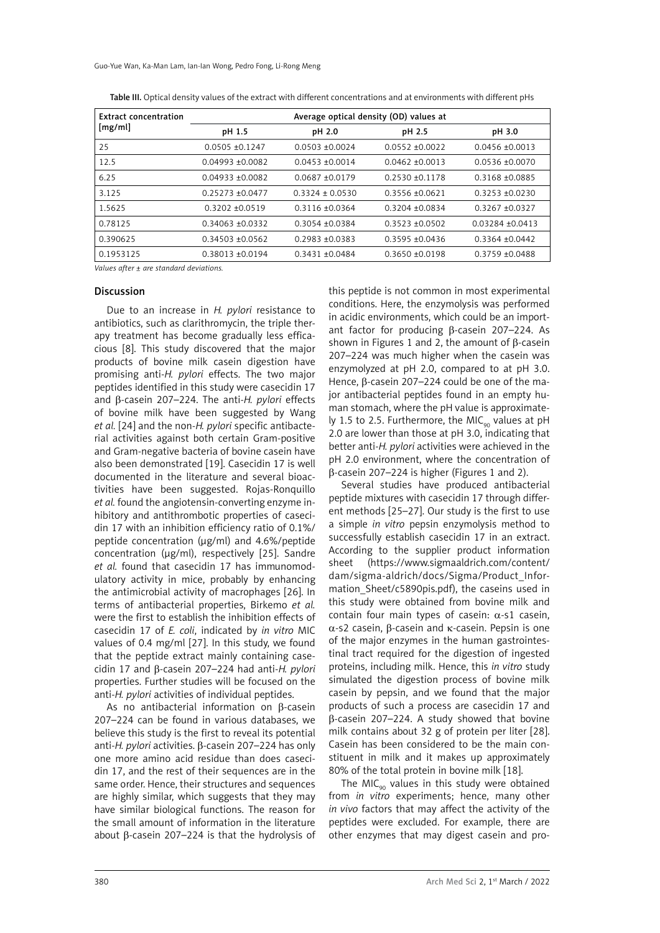Guo-Yue Wan, Ka-Man Lam, Ian-Ian Wong, Pedro Fong, Li-Rong Meng

| <b>Extract concentration</b><br>[mg/ml] | Average optical density (OD) values at |                     |                   |                     |  |
|-----------------------------------------|----------------------------------------|---------------------|-------------------|---------------------|--|
|                                         | pH 1.5                                 | pH 2.0              | pH 2.5            | pH 3.0              |  |
| 25                                      | $0.0505 + 0.1247$                      | $0.0503 + 0.0024$   | $0.0552 + 0.0022$ | $0.0456 + 0.0013$   |  |
| 12.5                                    | $0.04993 + 0.0082$                     | $0.0453 + 0.0014$   | $0.0462 + 0.0013$ | $0.0536 \pm 0.0070$ |  |
| 6.25                                    | $0.04933 + 0.0082$                     | $0.0687 + 0.0179$   | $0.2530 + 0.1178$ | 0.3168 ±0.0885      |  |
| 3.125                                   | 0.25273 ±0.0477                        | $0.3324 \pm 0.0530$ | $0.3556 + 0.0621$ | $0.3253 + 0.0230$   |  |
| 1.5625                                  | $0.3202 + 0.0519$                      | $0.3116 + 0.0364$   | $0.3204 + 0.0834$ | $0.3267 + 0.0327$   |  |
| 0.78125                                 | $0.34063 + 0.0332$                     | $0.3054 + 0.0384$   | $0.3523 + 0.0502$ | $0.03284 + 0.0413$  |  |
| 0.390625                                | $0.34503 + 0.0562$                     | $0.2983 + 0.0383$   | $0.3595 + 0.0436$ | $0.3364 \pm 0.0442$ |  |
| 0.1953125                               | 0.38013 ±0.0194                        | $0.3431 + 0.0484$   | $0.3650 + 0.0198$ | $0.3759 + 0.0488$   |  |

Table III. Optical density values of the extract with different concentrations and at environments with different pHs

*Values after ± are standard deviations.*

#### Discussion

Due to an increase in *H. pylori* resistance to antibiotics, such as clarithromycin, the triple therapy treatment has become gradually less efficacious [8]. This study discovered that the major products of bovine milk casein digestion have promising anti-*H. pylori* effects. The two major peptides identified in this study were casecidin 17 and β-casein 207–224. The anti-*H. pylori* effects of bovine milk have been suggested by Wang *et al.* [24] and the non*-H. pylori* specific antibacterial activities against both certain Gram-positive and Gram-negative bacteria of bovine casein have also been demonstrated [19]. Casecidin 17 is well documented in the literature and several bioactivities have been suggested. Rojas-Ronquillo *et al.* found the angiotensin-converting enzyme inhibitory and antithrombotic properties of casecidin 17 with an inhibition efficiency ratio of 0.1%/ peptide concentration (μg/ml) and 4.6%/peptide concentration (μg/ml), respectively [25]. Sandre *et al.* found that casecidin 17 has immunomodulatory activity in mice, probably by enhancing the antimicrobial activity of macrophages [26]. In terms of antibacterial properties, Birkemo *et al.* were the first to establish the inhibition effects of casecidin 17 of *E. coli*, indicated by *in vitro* MIC values of 0.4 mg/ml [27]. In this study, we found that the peptide extract mainly containing casecidin 17 and β-casein 207–224 had anti-*H. pylori* properties. Further studies will be focused on the anti-*H. pylori* activities of individual peptides.

As no antibacterial information on β-casein 207–224 can be found in various databases, we believe this study is the first to reveal its potential anti-*H. pylori* activities. β-casein 207–224 has only one more amino acid residue than does casecidin 17, and the rest of their sequences are in the same order. Hence, their structures and sequences are highly similar, which suggests that they may have similar biological functions. The reason for the small amount of information in the literature about β-casein 207–224 is that the hydrolysis of

this peptide is not common in most experimental conditions. Here, the enzymolysis was performed in acidic environments, which could be an important factor for producing β-casein 207–224. As shown in Figures 1 and 2, the amount of β-casein 207–224 was much higher when the casein was enzymolyzed at pH 2.0, compared to at pH 3.0. Hence, β-casein 207–224 could be one of the major antibacterial peptides found in an empty human stomach, where the pH value is approximately 1.5 to 2.5. Furthermore, the MIC<sub>oo</sub> values at pH 2.0 are lower than those at pH 3.0, indicating that better anti-*H. pylori* activities were achieved in the pH 2.0 environment, where the concentration of β-casein 207–224 is higher (Figures 1 and 2).

Several studies have produced antibacterial peptide mixtures with casecidin 17 through different methods [25–27]. Our study is the first to use a simple *in vitro* pepsin enzymolysis method to successfully establish casecidin 17 in an extract. According to the supplier product information sheet (https://www.sigmaaldrich.com/content/ dam/sigma-aldrich/docs/Sigma/Product\_Information Sheet/c5890pis.pdf), the caseins used in this study were obtained from bovine milk and contain four main types of casein: α-s1 casein, α-s2 casein, β-casein and κ-casein. Pepsin is one of the major enzymes in the human gastrointestinal tract required for the digestion of ingested proteins, including milk. Hence, this *in vitro* study simulated the digestion process of bovine milk casein by pepsin, and we found that the major products of such a process are casecidin 17 and β-casein 207–224. A study showed that bovine milk contains about 32 g of protein per liter [28]. Casein has been considered to be the main constituent in milk and it makes up approximately 80% of the total protein in bovine milk [18].

The MIC<sub>90</sub> values in this study were obtained from *in vitro* experiments; hence, many other *in vivo* factors that may affect the activity of the peptides were excluded. For example, there are other enzymes that may digest casein and pro